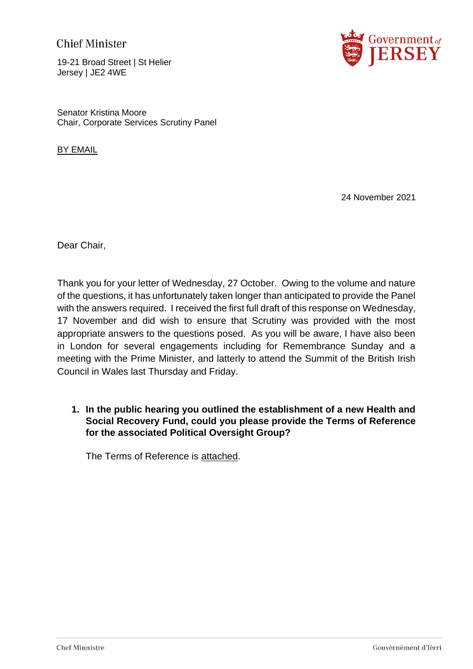# **Chief Minister**

19-21 Broad Street | St Helier Jersey | JE2 4WE



Senator Kristina Moore Chair, Corporate Services Scrutiny Panel

**BY EMAIL** 

24 November 2021

Dear Chair,

Thank you for your letter of Wednesday, 27 October. Owing to the volume and nature of the questions, it has unfortunately taken longer than anticipated to provide the Panel with the answers required. I received the first full draft of this response on Wednesday, 17 November and did wish to ensure that Scrutiny was provided with the most appropriate answers to the questions posed. As you will be aware, I have also been in London for several engagements including for Remembrance Sunday and a meeting with the Prime Minister, and latterly to attend the Summit of the British Irish Council in Wales last Thursday and Friday.

**1. In the public hearing you outlined the establishment of a new Health and Social Recovery Fund, could you please provide the Terms of Reference for the associated Political Oversight Group?**

The Terms of Reference is attached.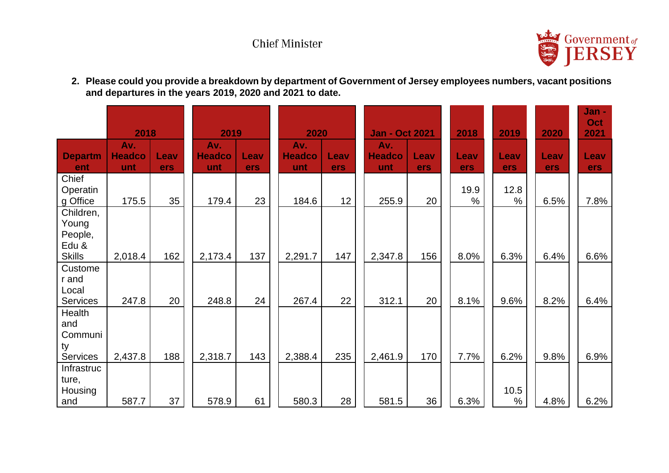# **Chief Minister**



**2. Please could you provide a breakdown by department of Government of Jersey employees numbers, vacant positions and departures in the years 2019, 2020 and 2021 to date.**

|                                                         | 2018                        |             | 2019                        |             |                             | 2020        |  | <b>Jan - Oct 2021</b>       |             | 2018         | 2019         | 2020        | Jan -<br>Oct<br>2021 |
|---------------------------------------------------------|-----------------------------|-------------|-----------------------------|-------------|-----------------------------|-------------|--|-----------------------------|-------------|--------------|--------------|-------------|----------------------|
| <b>Departm</b><br>ent                                   | Av.<br><b>Headco</b><br>unt | Leav<br>ers | Av.<br><b>Headco</b><br>unt | Leav<br>ers | Av.<br><b>Headco</b><br>unt | Leav<br>ers |  | Av.<br><b>Headco</b><br>unt | Leav<br>ers | Leav<br>ers  | Leav<br>ers  | Leav<br>ers | Leav<br>ers          |
| Chief<br>Operatin<br>g Office                           | 175.5                       | 35          | 179.4                       | 23          | 184.6                       | 12          |  | 255.9                       | 20          | 19.9<br>$\%$ | 12.8<br>$\%$ | 6.5%        | 7.8%                 |
| Children,<br>Young<br>People,<br>Edu &<br><b>Skills</b> | 2,018.4                     | 162         | 2,173.4                     | 137         | 2,291.7                     | 147         |  | 2,347.8                     | 156         | 8.0%         | 6.3%         | 6.4%        | 6.6%                 |
| Custome<br>r and<br>Local<br><b>Services</b>            | 247.8                       | 20          | 248.8                       | 24          | 267.4                       | 22          |  | 312.1                       | 20          | 8.1%         | 9.6%         | 8.2%        | 6.4%                 |
| Health<br>and<br>Communi<br>ty<br><b>Services</b>       | 2,437.8                     | 188         | 2,318.7                     | 143         | 2,388.4                     | 235         |  | 2,461.9                     | 170         | 7.7%         | 6.2%         | 9.8%        | 6.9%                 |
| Infrastruc<br>ture,<br>Housing<br>and                   | 587.7                       | 37          | 578.9                       | 61          | 580.3                       | 28          |  | 581.5                       | 36          | 6.3%         | 10.5<br>%    | 4.8%        | 6.2%                 |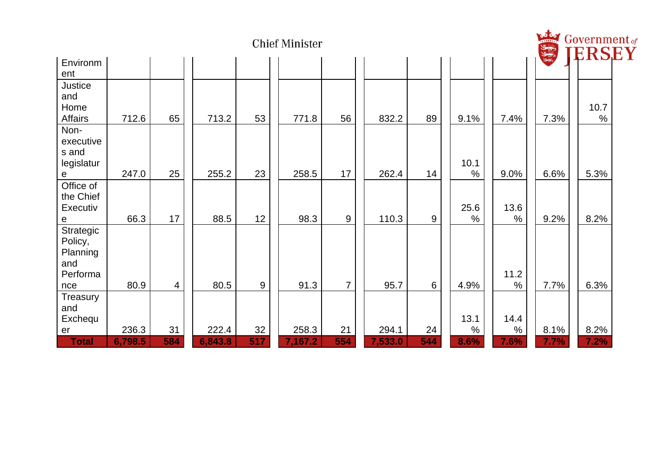| <b>Chief Minister</b>                                      |                  |           |                  |           |                  |                |  |                  |                  | Estes<br>Government of<br>ERSI |              |              |              |
|------------------------------------------------------------|------------------|-----------|------------------|-----------|------------------|----------------|--|------------------|------------------|--------------------------------|--------------|--------------|--------------|
| Environm                                                   |                  |           |                  |           |                  |                |  |                  |                  |                                |              |              |              |
| ent<br>Justice<br>and<br>Home<br>Affairs                   | 712.6            | 65        | 713.2            | 53        | 771.8            | 56             |  | 832.2            | 89               | 9.1%                           | 7.4%         | 7.3%         | 10.7<br>$\%$ |
| Non-<br>executive<br>s and<br>legislatur<br>$\mathbf{e}$   | 247.0            | 25        | 255.2            | 23        | 258.5            | 17             |  | 262.4            | 14               | 10.1<br>$\%$                   | 9.0%         | 6.6%         | 5.3%         |
| Office of<br>the Chief<br>Executiv<br>${\bf e}$            | 66.3             | 17        | 88.5             | 12        | 98.3             | $9\,$          |  | 110.3            | $\boldsymbol{9}$ | 25.6<br>$\%$                   | 13.6<br>$\%$ | 9.2%         | 8.2%         |
| Strategic<br>Policy,<br>Planning<br>and<br>Performa<br>nce | 80.9             | 4         | 80.5             | 9         | 91.3             | $\overline{7}$ |  | 95.7             | 6                | 4.9%                           | 11.2<br>$\%$ | 7.7%         | 6.3%         |
| Treasury<br>and<br>Exchequ                                 |                  |           |                  |           |                  |                |  |                  |                  | 13.1<br>$\%$                   | 14.4         |              |              |
| er<br><b>Total</b>                                         | 236.3<br>6,798.5 | 31<br>584 | 222.4<br>6,843.8 | 32<br>517 | 258.3<br>7,167.2 | 21<br>554      |  | 294.1<br>7,533.0 | 24<br>544        | 8.6%                           | $\%$<br>7.6% | 8.1%<br>7.7% | 8.2%<br>7.2% |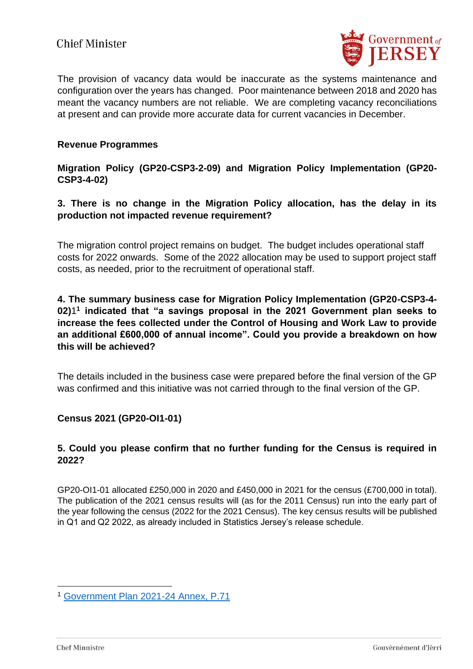

The provision of vacancy data would be inaccurate as the systems maintenance and configuration over the years has changed. Poor maintenance between 2018 and 2020 has meant the vacancy numbers are not reliable. We are completing vacancy reconciliations at present and can provide more accurate data for current vacancies in December.

#### **Revenue Programmes**

### **Migration Policy (GP20-CSP3-2-09) and Migration Policy Implementation (GP20- CSP3-4-02)**

# **3. There is no change in the Migration Policy allocation, has the delay in its production not impacted revenue requirement?**

The migration control project remains on budget. The budget includes operational staff costs for 2022 onwards. Some of the 2022 allocation may be used to support project staff costs, as needed, prior to the recruitment of operational staff.

### **4. The summary business case for Migration Policy Implementation (GP20-CSP3-4- 02)**1 **1 indicated that "a savings proposal in the 2021 Government plan seeks to increase the fees collected under the Control of Housing and Work Law to provide an additional £600,000 of annual income". Could you provide a breakdown on how this will be achieved?**

The details included in the business case were prepared before the final version of the GP was confirmed and this initiative was not carried through to the final version of the GP.

# **Census 2021 (GP20-OI1-01)**

### **5. Could you please confirm that no further funding for the Census is required in 2022?**

GP20-OI1-01 allocated £250,000 in 2020 and £450,000 in 2021 for the census (£700,000 in total). The publication of the 2021 census results will (as for the 2011 Census) run into the early part of the year following the census (2022 for the 2021 Census). The key census results will be published in Q1 and Q2 2022, as already included in Statistics Jersey's release schedule.

<sup>1</sup> [Government Plan 2021-24 Annex, P.71](https://www.gov.je/SiteCollectionDocuments/Government%20and%20administration/ID%20Government%20Plan%20Annex%202021%20to%202024%20CB.pdf#page=71)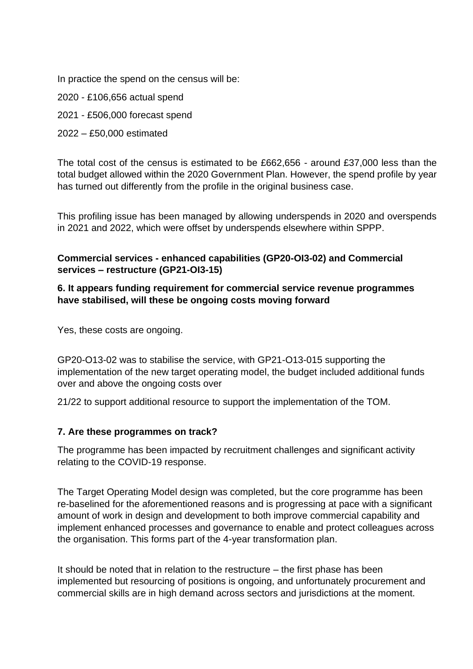In practice the spend on the census will be:

2020 - £106,656 actual spend

2021 - £506,000 forecast spend

### 2022 – £50,000 estimated

The total cost of the census is estimated to be £662,656 - around £37,000 less than the total budget allowed within the 2020 Government Plan. However, the spend profile by year has turned out differently from the profile in the original business case.

This profiling issue has been managed by allowing underspends in 2020 and overspends in 2021 and 2022, which were offset by underspends elsewhere within SPPP.

# **Commercial services - enhanced capabilities (GP20-OI3-02) and Commercial services – restructure (GP21-OI3-15)**

# **6. It appears funding requirement for commercial service revenue programmes have stabilised, will these be ongoing costs moving forward**

Yes, these costs are ongoing.

GP20-O13-02 was to stabilise the service, with GP21-O13-015 supporting the implementation of the new target operating model, the budget included additional funds over and above the ongoing costs over

21/22 to support additional resource to support the implementation of the TOM.

# **7. Are these programmes on track?**

The programme has been impacted by recruitment challenges and significant activity relating to the COVID-19 response.

The Target Operating Model design was completed, but the core programme has been re-baselined for the aforementioned reasons and is progressing at pace with a significant amount of work in design and development to both improve commercial capability and implement enhanced processes and governance to enable and protect colleagues across the organisation. This forms part of the 4-year transformation plan.

It should be noted that in relation to the restructure – the first phase has been implemented but resourcing of positions is ongoing, and unfortunately procurement and commercial skills are in high demand across sectors and jurisdictions at the moment.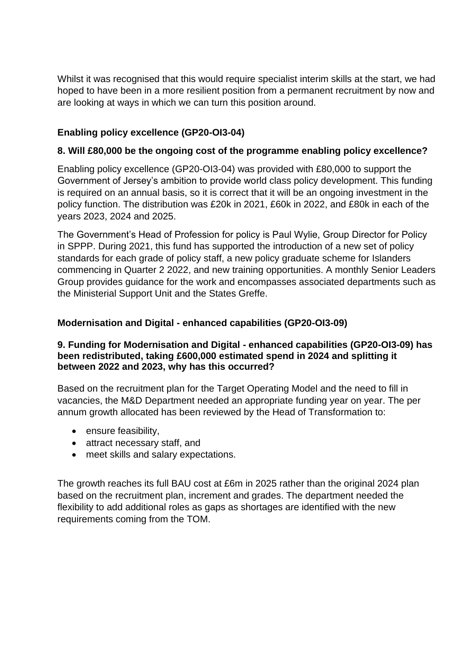Whilst it was recognised that this would require specialist interim skills at the start, we had hoped to have been in a more resilient position from a permanent recruitment by now and are looking at ways in which we can turn this position around.

# **Enabling policy excellence (GP20-OI3-04)**

### **8. Will £80,000 be the ongoing cost of the programme enabling policy excellence?**

Enabling policy excellence (GP20-OI3-04) was provided with £80,000 to support the Government of Jersey's ambition to provide world class policy development. This funding is required on an annual basis, so it is correct that it will be an ongoing investment in the policy function. The distribution was £20k in 2021, £60k in 2022, and £80k in each of the years 2023, 2024 and 2025.

The Government's Head of Profession for policy is Paul Wylie, Group Director for Policy in SPPP. During 2021, this fund has supported the introduction of a new set of policy standards for each grade of policy staff, a new policy graduate scheme for Islanders commencing in Quarter 2 2022, and new training opportunities. A monthly Senior Leaders Group provides guidance for the work and encompasses associated departments such as the Ministerial Support Unit and the States Greffe.

# **Modernisation and Digital - enhanced capabilities (GP20-OI3-09)**

### **9. Funding for Modernisation and Digital - enhanced capabilities (GP20-OI3-09) has been redistributed, taking £600,000 estimated spend in 2024 and splitting it between 2022 and 2023, why has this occurred?**

Based on the recruitment plan for the Target Operating Model and the need to fill in vacancies, the M&D Department needed an appropriate funding year on year. The per annum growth allocated has been reviewed by the Head of Transformation to:

- ensure feasibility,
- attract necessary staff, and
- meet skills and salary expectations.

The growth reaches its full BAU cost at £6m in 2025 rather than the original 2024 plan based on the recruitment plan, increment and grades. The department needed the flexibility to add additional roles as gaps as shortages are identified with the new requirements coming from the TOM.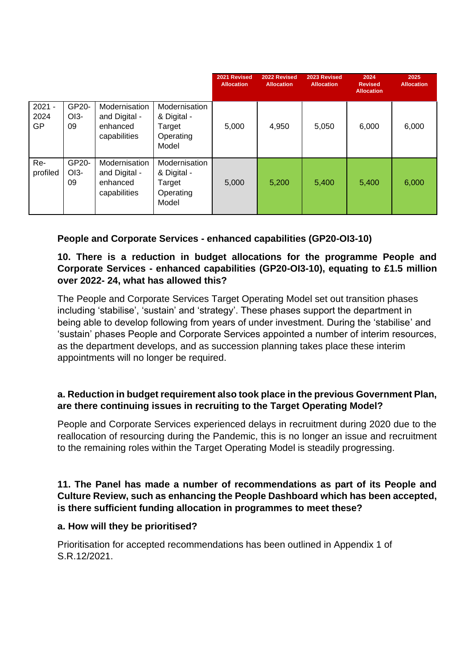|                               |                       |                                                            |                                                              | 2021 Revised<br><b>Allocation</b> | 2022 Revised<br><b>Allocation</b> | 2023 Revised<br><b>Allocation</b> | 2024<br><b>Revised</b><br><b>Allocation</b> | 2025<br><b>Allocation</b> |
|-------------------------------|-----------------------|------------------------------------------------------------|--------------------------------------------------------------|-----------------------------------|-----------------------------------|-----------------------------------|---------------------------------------------|---------------------------|
| $2021 -$<br>2024<br><b>GP</b> | GP20-<br>$O13-$<br>09 | Modernisation<br>and Digital -<br>enhanced<br>capabilities | Modernisation<br>& Digital -<br>Target<br>Operating<br>Model | 5,000                             | 4,950                             | 5,050                             | 6,000                                       | 6,000                     |
| Re-<br>profiled               | GP20-<br>$O13-$<br>09 | Modernisation<br>and Digital -<br>enhanced<br>capabilities | Modernisation<br>& Digital -<br>Target<br>Operating<br>Model | 5,000                             | 5,200                             | 5,400                             | 5,400                                       | 6,000                     |

# **People and Corporate Services - enhanced capabilities (GP20-OI3-10)**

# **10. There is a reduction in budget allocations for the programme People and Corporate Services - enhanced capabilities (GP20-OI3-10), equating to £1.5 million over 2022- 24, what has allowed this?**

The People and Corporate Services Target Operating Model set out transition phases including 'stabilise', 'sustain' and 'strategy'. These phases support the department in being able to develop following from years of under investment. During the 'stabilise' and 'sustain' phases People and Corporate Services appointed a number of interim resources, as the department develops, and as succession planning takes place these interim appointments will no longer be required.

# **a. Reduction in budget requirement also took place in the previous Government Plan, are there continuing issues in recruiting to the Target Operating Model?**

People and Corporate Services experienced delays in recruitment during 2020 due to the reallocation of resourcing during the Pandemic, this is no longer an issue and recruitment to the remaining roles within the Target Operating Model is steadily progressing.

### **11. The Panel has made a number of recommendations as part of its People and Culture Review, such as enhancing the People Dashboard which has been accepted, is there sufficient funding allocation in programmes to meet these?**

#### **a. How will they be prioritised?**

Prioritisation for accepted recommendations has been outlined in Appendix 1 of S.R.12/2021.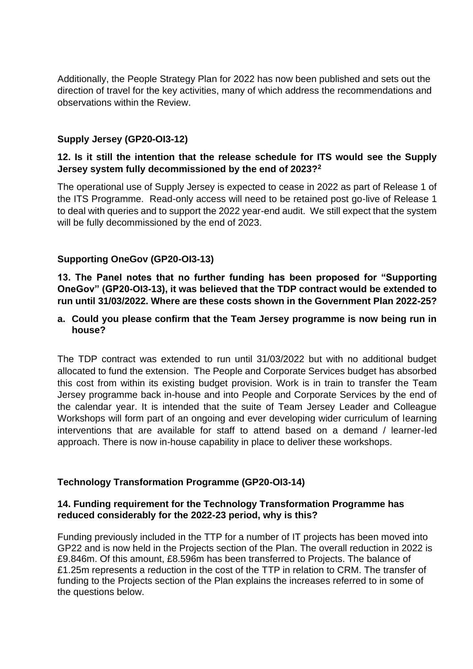Additionally, the People Strategy Plan for 2022 has now been published and sets out the direction of travel for the key activities, many of which address the recommendations and observations within the Review.

### **Supply Jersey (GP20-OI3-12)**

### **12. Is it still the intention that the release schedule for ITS would see the Supply Jersey system fully decommissioned by the end of 2023?<sup>2</sup>**

The operational use of Supply Jersey is expected to cease in 2022 as part of Release 1 of the ITS Programme. Read-only access will need to be retained post go-live of Release 1 to deal with queries and to support the 2022 year-end audit. We still expect that the system will be fully decommissioned by the end of 2023.

### **Supporting OneGov (GP20-OI3-13)**

**13. The Panel notes that no further funding has been proposed for "Supporting OneGov" (GP20-OI3-13), it was believed that the TDP contract would be extended to run until 31/03/2022. Where are these costs shown in the Government Plan 2022-25?**

#### **a. Could you please confirm that the Team Jersey programme is now being run in house?**

The TDP contract was extended to run until 31/03/2022 but with no additional budget allocated to fund the extension. The People and Corporate Services budget has absorbed this cost from within its existing budget provision. Work is in train to transfer the Team Jersey programme back in-house and into People and Corporate Services by the end of the calendar year. It is intended that the suite of Team Jersey Leader and Colleague Workshops will form part of an ongoing and ever developing wider curriculum of learning interventions that are available for staff to attend based on a demand / learner-led approach. There is now in-house capability in place to deliver these workshops.

#### **Technology Transformation Programme (GP20-OI3-14)**

#### **14. Funding requirement for the Technology Transformation Programme has reduced considerably for the 2022-23 period, why is this?**

Funding previously included in the TTP for a number of IT projects has been moved into GP22 and is now held in the Projects section of the Plan. The overall reduction in 2022 is £9.846m. Of this amount, £8.596m has been transferred to Projects. The balance of £1.25m represents a reduction in the cost of the TTP in relation to CRM. The transfer of funding to the Projects section of the Plan explains the increases referred to in some of the questions below.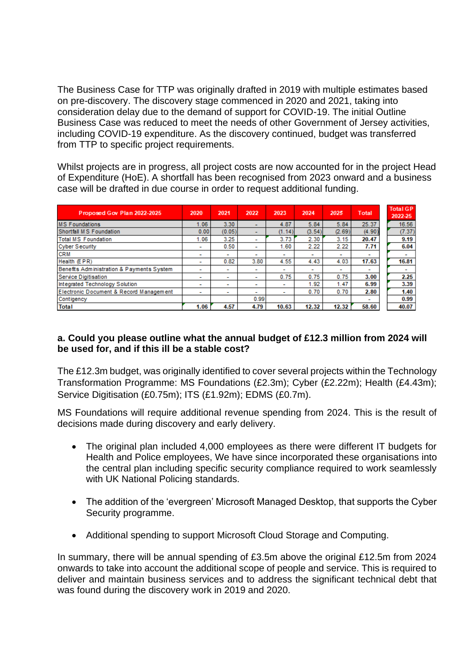The Business Case for TTP was originally drafted in 2019 with multiple estimates based on pre-discovery. The discovery stage commenced in 2020 and 2021, taking into consideration delay due to the demand of support for COVID-19. The initial Outline Business Case was reduced to meet the needs of other Government of Jersey activities, including COVID-19 expenditure. As the discovery continued, budget was transferred from TTP to specific project requirements.

Whilst projects are in progress, all project costs are now accounted for in the project Head of Expenditure (HoE). A shortfall has been recognised from 2023 onward and a business case will be drafted in due course in order to request additional funding.

| Proposed Gov Plan 2022-2025               | 2020                     | 2021                     | 2022                     | 2023                     | 2024           | 2025                     | <b>Total</b>             | <b>Total GP</b><br>2022-25 |
|-------------------------------------------|--------------------------|--------------------------|--------------------------|--------------------------|----------------|--------------------------|--------------------------|----------------------------|
| <b>MS Foundations</b>                     | 1.06                     | 3.30                     |                          | 4.87                     | 5.84           | 5.84                     | 25.37                    | 16.56                      |
| Shortfall MS Foundation                   | 0.00                     | (0.05)                   |                          | (1.14)                   | (3.54)         | (2.69)                   | (4.90)                   | (7.37)                     |
| <b>Total MS Foundation</b>                | 1.06                     | 3.25                     | ۰                        | 3.73                     | 2.30           | 3.15                     | 20.47                    | 9.19                       |
| <b>Cyber Security</b>                     | $\overline{\phantom{0}}$ | 0.50                     | $\overline{\phantom{0}}$ | 1.60                     | 2.22           | 2.22                     | 7.71                     | 6.04                       |
| <b>CRM</b>                                | $\overline{\phantom{a}}$ | $\overline{\phantom{a}}$ | $\overline{\phantom{a}}$ | $\overline{\phantom{0}}$ | -              | ۰                        | $\overline{\phantom{0}}$ |                            |
| Health (EPR)                              | $\overline{\phantom{0}}$ | 0.82                     | 3.80                     | 4.55                     | 4.43           | 4.03                     | 17.63                    | 16.81                      |
| Benefits Administration & Payments System | -                        | $\overline{\phantom{a}}$ | ۰                        | $\overline{\phantom{0}}$ | $\blacksquare$ | $\overline{\phantom{a}}$ | $\overline{\phantom{a}}$ |                            |
| Service Digitisation                      | ٠                        | $\overline{\phantom{a}}$ | ۰                        | 0.75                     | 0.75           | 0.75                     | 3.00                     | 2.25                       |
| Integrated Technology Solution            | ۰                        | $\overline{\phantom{a}}$ | $\overline{\phantom{a}}$ |                          | 1.92           | 1.47                     | 6.99                     | 3.39                       |
| Electronic Document & Record Management   | $\overline{\phantom{0}}$ | $\overline{\phantom{a}}$ | $\overline{\phantom{a}}$ | $\blacksquare$           | 0.70           | 0.70                     | 2.80                     | 1.40                       |
| Contigency                                |                          |                          | 0.99                     |                          |                |                          | $\overline{\phantom{a}}$ | 0.99                       |
| <b>Total</b>                              | 1.06                     | 4.57                     | 4.79                     | 10.63                    | 12.32          | 12.32                    | 58.60                    | 40.07                      |

### **a. Could you please outline what the annual budget of £12.3 million from 2024 will be used for, and if this ill be a stable cost?**

The £12.3m budget, was originally identified to cover several projects within the Technology Transformation Programme: MS Foundations (£2.3m); Cyber (£2.22m); Health (£4.43m); Service Digitisation (£0.75m); ITS (£1.92m); EDMS (£0.7m).

MS Foundations will require additional revenue spending from 2024. This is the result of decisions made during discovery and early delivery.

- The original plan included 4,000 employees as there were different IT budgets for Health and Police employees, We have since incorporated these organisations into the central plan including specific security compliance required to work seamlessly with UK National Policing standards.
- The addition of the 'evergreen' Microsoft Managed Desktop, that supports the Cyber Security programme.
- Additional spending to support Microsoft Cloud Storage and Computing.

In summary, there will be annual spending of £3.5m above the original £12.5m from 2024 onwards to take into account the additional scope of people and service. This is required to deliver and maintain business services and to address the significant technical debt that was found during the discovery work in 2019 and 2020.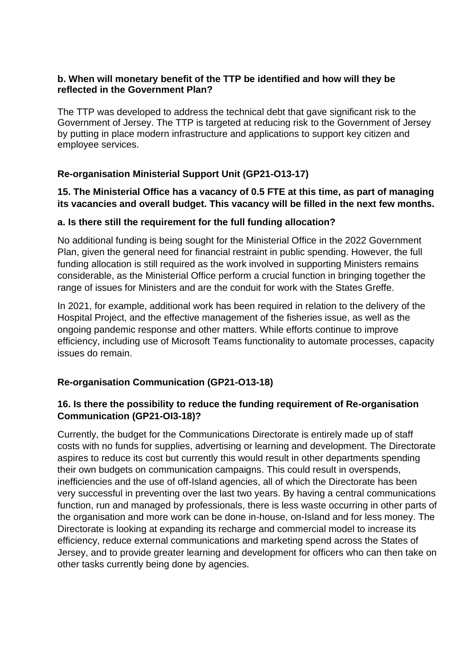### **b. When will monetary benefit of the TTP be identified and how will they be reflected in the Government Plan?**

The TTP was developed to address the technical debt that gave significant risk to the Government of Jersey. The TTP is targeted at reducing risk to the Government of Jersey by putting in place modern infrastructure and applications to support key citizen and employee services.

# **Re-organisation Ministerial Support Unit (GP21-O13-17)**

# **15. The Ministerial Office has a vacancy of 0.5 FTE at this time, as part of managing its vacancies and overall budget. This vacancy will be filled in the next few months.**

# **a. Is there still the requirement for the full funding allocation?**

No additional funding is being sought for the Ministerial Office in the 2022 Government Plan, given the general need for financial restraint in public spending. However, the full funding allocation is still required as the work involved in supporting Ministers remains considerable, as the Ministerial Office perform a crucial function in bringing together the range of issues for Ministers and are the conduit for work with the States Greffe.

In 2021, for example, additional work has been required in relation to the delivery of the Hospital Project, and the effective management of the fisheries issue, as well as the ongoing pandemic response and other matters. While efforts continue to improve efficiency, including use of Microsoft Teams functionality to automate processes, capacity issues do remain.

# **Re-organisation Communication (GP21-O13-18)**

# **16. Is there the possibility to reduce the funding requirement of Re-organisation Communication (GP21-OI3-18)?**

Currently, the budget for the Communications Directorate is entirely made up of staff costs with no funds for supplies, advertising or learning and development. The Directorate aspires to reduce its cost but currently this would result in other departments spending their own budgets on communication campaigns. This could result in overspends, inefficiencies and the use of off-Island agencies, all of which the Directorate has been very successful in preventing over the last two years. By having a central communications function, run and managed by professionals, there is less waste occurring in other parts of the organisation and more work can be done in-house, on-Island and for less money. The Directorate is looking at expanding its recharge and commercial model to increase its efficiency, reduce external communications and marketing spend across the States of Jersey, and to provide greater learning and development for officers who can then take on other tasks currently being done by agencies.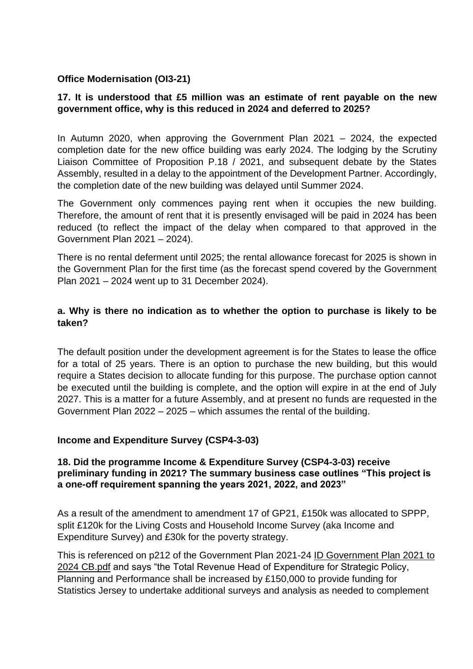### **Office Modernisation (OI3-21)**

### **17. It is understood that £5 million was an estimate of rent payable on the new government office, why is this reduced in 2024 and deferred to 2025?**

In Autumn 2020, when approving the Government Plan 2021 – 2024, the expected completion date for the new office building was early 2024. The lodging by the Scrutiny Liaison Committee of Proposition P.18 / 2021, and subsequent debate by the States Assembly, resulted in a delay to the appointment of the Development Partner. Accordingly, the completion date of the new building was delayed until Summer 2024.

The Government only commences paying rent when it occupies the new building. Therefore, the amount of rent that it is presently envisaged will be paid in 2024 has been reduced (to reflect the impact of the delay when compared to that approved in the Government Plan 2021 – 2024).

There is no rental deferment until 2025; the rental allowance forecast for 2025 is shown in the Government Plan for the first time (as the forecast spend covered by the Government Plan 2021 – 2024 went up to 31 December 2024).

#### **a. Why is there no indication as to whether the option to purchase is likely to be taken?**

The default position under the development agreement is for the States to lease the office for a total of 25 years. There is an option to purchase the new building, but this would require a States decision to allocate funding for this purpose. The purchase option cannot be executed until the building is complete, and the option will expire in at the end of July 2027. This is a matter for a future Assembly, and at present no funds are requested in the Government Plan 2022 – 2025 – which assumes the rental of the building.

#### **Income and Expenditure Survey (CSP4-3-03)**

#### **18. Did the programme Income & Expenditure Survey (CSP4-3-03) receive preliminary funding in 2021? The summary business case outlines "This project is a one-off requirement spanning the years 2021, 2022, and 2023"**

As a result of the amendment to amendment 17 of GP21, £150k was allocated to SPPP, split £120k for the Living Costs and Household Income Survey (aka Income and Expenditure Survey) and £30k for the poverty strategy.

This is referenced on p212 of the Government Plan 2021-24 [ID Government Plan 2021 to](https://eur02.safelinks.protection.outlook.com/?url=https%3A%2F%2Fwww.gov.je%2FSiteCollectionDocuments%2FGovernment%2520and%2520administration%2FID%2520Government%2520Plan%25202021%2520to%25202024%2520CB.pdf&data=04%7C01%7C%7C6cdf011bc9604f96a5e608d99df143a2%7C2b5615117ddf495c8164f56ae776c54a%7C0%7C0%7C637714481805614624%7CUnknown%7CTWFpbGZsb3d8eyJWIjoiMC4wLjAwMDAiLCJQIjoiV2luMzIiLCJBTiI6Ik1haWwiLCJXVCI6Mn0%3D%7C1000&sdata=RAfAfOAptOT129F2MAsAwKa1roklRIGA9%2FP1CNtv3WQ%3D&reserved=0)  [2024 CB.pdf](https://eur02.safelinks.protection.outlook.com/?url=https%3A%2F%2Fwww.gov.je%2FSiteCollectionDocuments%2FGovernment%2520and%2520administration%2FID%2520Government%2520Plan%25202021%2520to%25202024%2520CB.pdf&data=04%7C01%7C%7C6cdf011bc9604f96a5e608d99df143a2%7C2b5615117ddf495c8164f56ae776c54a%7C0%7C0%7C637714481805614624%7CUnknown%7CTWFpbGZsb3d8eyJWIjoiMC4wLjAwMDAiLCJQIjoiV2luMzIiLCJBTiI6Ik1haWwiLCJXVCI6Mn0%3D%7C1000&sdata=RAfAfOAptOT129F2MAsAwKa1roklRIGA9%2FP1CNtv3WQ%3D&reserved=0) and says "the Total Revenue Head of Expenditure for Strategic Policy, Planning and Performance shall be increased by £150,000 to provide funding for Statistics Jersey to undertake additional surveys and analysis as needed to complement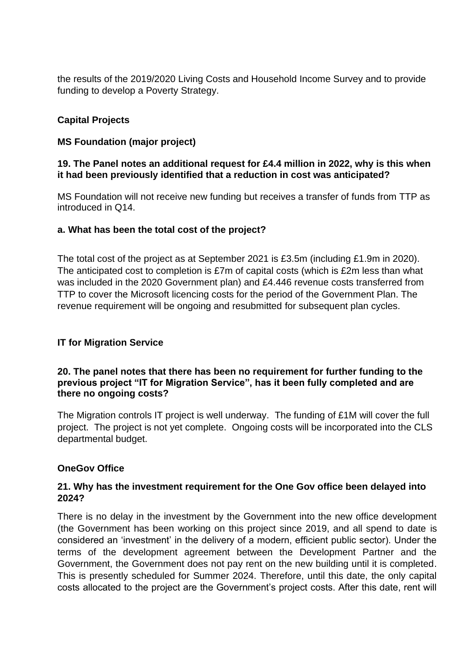the results of the 2019/2020 Living Costs and Household Income Survey and to provide funding to develop a Poverty Strategy.

# **Capital Projects**

# **MS Foundation (major project)**

### **19. The Panel notes an additional request for £4.4 million in 2022, why is this when it had been previously identified that a reduction in cost was anticipated?**

MS Foundation will not receive new funding but receives a transfer of funds from TTP as introduced in Q14.

### **a. What has been the total cost of the project?**

The total cost of the project as at September 2021 is £3.5m (including £1.9m in 2020). The anticipated cost to completion is £7m of capital costs (which is £2m less than what was included in the 2020 Government plan) and £4.446 revenue costs transferred from TTP to cover the Microsoft licencing costs for the period of the Government Plan. The revenue requirement will be ongoing and resubmitted for subsequent plan cycles.

# **IT for Migration Service**

#### **20. The panel notes that there has been no requirement for further funding to the previous project "IT for Migration Service", has it been fully completed and are there no ongoing costs?**

The Migration controls IT project is well underway. The funding of £1M will cover the full project. The project is not yet complete. Ongoing costs will be incorporated into the CLS departmental budget.

# **OneGov Office**

### **21. Why has the investment requirement for the One Gov office been delayed into 2024?**

There is no delay in the investment by the Government into the new office development (the Government has been working on this project since 2019, and all spend to date is considered an 'investment' in the delivery of a modern, efficient public sector). Under the terms of the development agreement between the Development Partner and the Government, the Government does not pay rent on the new building until it is completed. This is presently scheduled for Summer 2024. Therefore, until this date, the only capital costs allocated to the project are the Government's project costs. After this date, rent will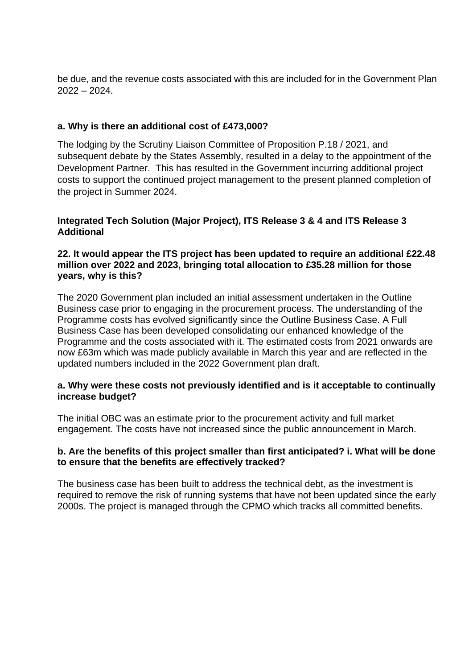be due, and the revenue costs associated with this are included for in the Government Plan 2022 – 2024.

### **a. Why is there an additional cost of £473,000?**

The lodging by the Scrutiny Liaison Committee of Proposition P.18 / 2021, and subsequent debate by the States Assembly, resulted in a delay to the appointment of the Development Partner. This has resulted in the Government incurring additional project costs to support the continued project management to the present planned completion of the project in Summer 2024.

#### **Integrated Tech Solution (Major Project), ITS Release 3 & 4 and ITS Release 3 Additional**

#### **22. It would appear the ITS project has been updated to require an additional £22.48 million over 2022 and 2023, bringing total allocation to £35.28 million for those years, why is this?**

The 2020 Government plan included an initial assessment undertaken in the Outline Business case prior to engaging in the procurement process. The understanding of the Programme costs has evolved significantly since the Outline Business Case. A Full Business Case has been developed consolidating our enhanced knowledge of the Programme and the costs associated with it. The estimated costs from 2021 onwards are now £63m which was made publicly available in March this year and are reflected in the updated numbers included in the 2022 Government plan draft.

#### **a. Why were these costs not previously identified and is it acceptable to continually increase budget?**

The initial OBC was an estimate prior to the procurement activity and full market engagement. The costs have not increased since the public announcement in March.

#### **b. Are the benefits of this project smaller than first anticipated? i. What will be done to ensure that the benefits are effectively tracked?**

The business case has been built to address the technical debt, as the investment is required to remove the risk of running systems that have not been updated since the early 2000s. The project is managed through the CPMO which tracks all committed benefits.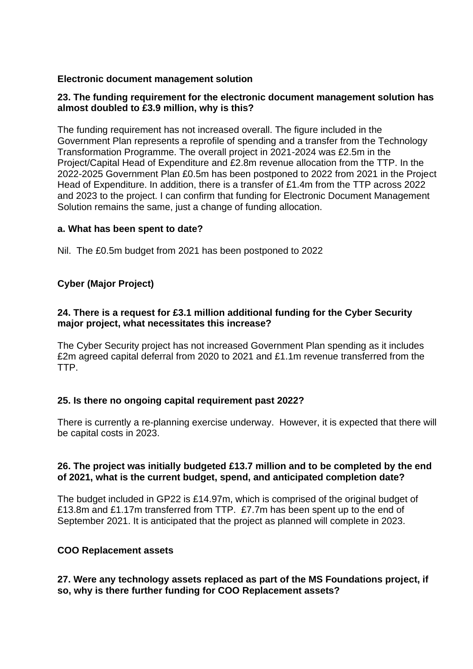### **Electronic document management solution**

#### **23. The funding requirement for the electronic document management solution has almost doubled to £3.9 million, why is this?**

The funding requirement has not increased overall. The figure included in the Government Plan represents a reprofile of spending and a transfer from the Technology Transformation Programme. The overall project in 2021-2024 was £2.5m in the Project/Capital Head of Expenditure and £2.8m revenue allocation from the TTP. In the 2022-2025 Government Plan £0.5m has been postponed to 2022 from 2021 in the Project Head of Expenditure. In addition, there is a transfer of £1.4m from the TTP across 2022 and 2023 to the project. I can confirm that funding for Electronic Document Management Solution remains the same, just a change of funding allocation.

#### **a. What has been spent to date?**

Nil. The £0.5m budget from 2021 has been postponed to 2022

# **Cyber (Major Project)**

### **24. There is a request for £3.1 million additional funding for the Cyber Security major project, what necessitates this increase?**

The Cyber Security project has not increased Government Plan spending as it includes £2m agreed capital deferral from 2020 to 2021 and £1.1m revenue transferred from the TTP.

#### **25. Is there no ongoing capital requirement past 2022?**

There is currently a re-planning exercise underway. However, it is expected that there will be capital costs in 2023.

#### **26. The project was initially budgeted £13.7 million and to be completed by the end of 2021, what is the current budget, spend, and anticipated completion date?**

The budget included in GP22 is £14.97m, which is comprised of the original budget of £13.8m and £1.17m transferred from TTP. £7.7m has been spent up to the end of September 2021. It is anticipated that the project as planned will complete in 2023.

#### **COO Replacement assets**

#### **27. Were any technology assets replaced as part of the MS Foundations project, if so, why is there further funding for COO Replacement assets?**